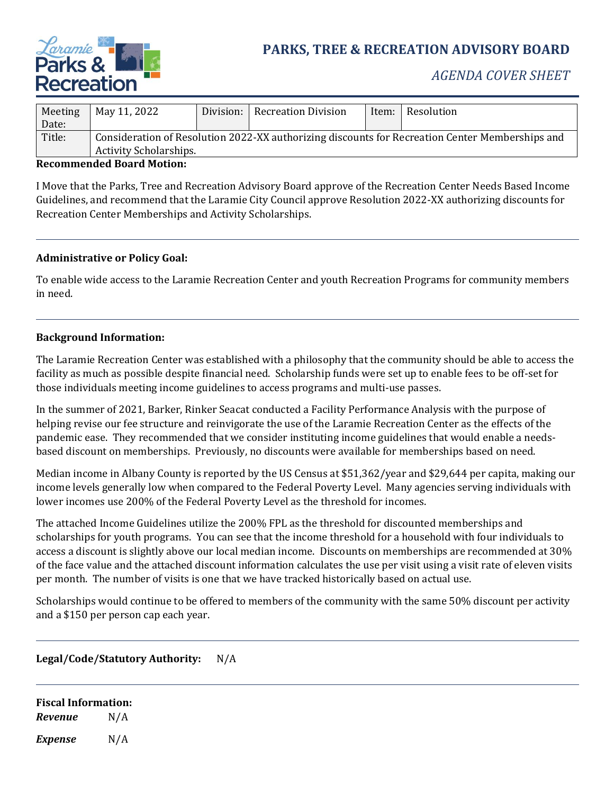

# **PARKS, TREE & RECREATION ADVISORY BOARD**

## *AGENDA COVER SHEET*

| Meeting | May 11, 2022                                                                                    |  | Division: Recreation Division | Item: | Resolution |
|---------|-------------------------------------------------------------------------------------------------|--|-------------------------------|-------|------------|
| Date:   |                                                                                                 |  |                               |       |            |
| Title:  | Consideration of Resolution 2022-XX authorizing discounts for Recreation Center Memberships and |  |                               |       |            |
|         | <b>Activity Scholarships.</b>                                                                   |  |                               |       |            |

#### **Recommended Board Motion:**

I Move that the Parks, Tree and Recreation Advisory Board approve of the Recreation Center Needs Based Income Guidelines, and recommend that the Laramie City Council approve Resolution 2022-XX authorizing discounts for Recreation Center Memberships and Activity Scholarships.

#### **Administrative or Policy Goal:**

To enable wide access to the Laramie Recreation Center and youth Recreation Programs for community members in need.

#### **Background Information:**

The Laramie Recreation Center was established with a philosophy that the community should be able to access the facility as much as possible despite financial need. Scholarship funds were set up to enable fees to be off-set for those individuals meeting income guidelines to access programs and multi-use passes.

In the summer of 2021, Barker, Rinker Seacat conducted a Facility Performance Analysis with the purpose of helping revise our fee structure and reinvigorate the use of the Laramie Recreation Center as the effects of the pandemic ease. They recommended that we consider instituting income guidelines that would enable a needsbased discount on memberships. Previously, no discounts were available for memberships based on need.

Median income in Albany County is reported by the US Census at \$51,362/year and \$29,644 per capita, making our income levels generally low when compared to the Federal Poverty Level. Many agencies serving individuals with lower incomes use 200% of the Federal Poverty Level as the threshold for incomes.

The attached Income Guidelines utilize the 200% FPL as the threshold for discounted memberships and scholarships for youth programs. You can see that the income threshold for a household with four individuals to access a discount is slightly above our local median income. Discounts on memberships are recommended at 30% of the face value and the attached discount information calculates the use per visit using a visit rate of eleven visits per month. The number of visits is one that we have tracked historically based on actual use.

Scholarships would continue to be offered to members of the community with the same 50% discount per activity and a \$150 per person cap each year.

#### **Legal/Code/Statutory Authority:** N/A

#### **Fiscal Information:** *Revenue* N/A

*Expense* N/A